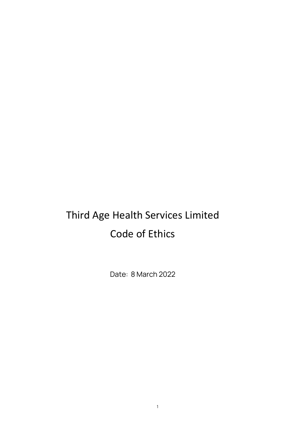# Third Age Health Services Limited Code of Ethics

Date: 8 March 2022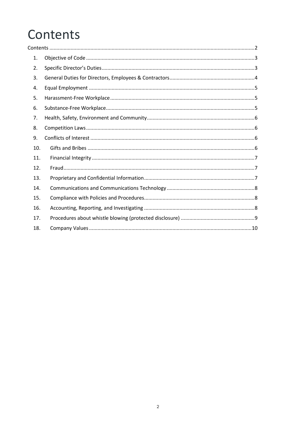# <span id="page-1-0"></span>Contents

| 1.  |  |
|-----|--|
| 2.  |  |
| 3.  |  |
| 4.  |  |
| 5.  |  |
| 6.  |  |
| 7.  |  |
| 8.  |  |
| 9.  |  |
| 10. |  |
| 11. |  |
| 12. |  |
| 13. |  |
| 14. |  |
| 15. |  |
| 16. |  |
| 17. |  |
| 18. |  |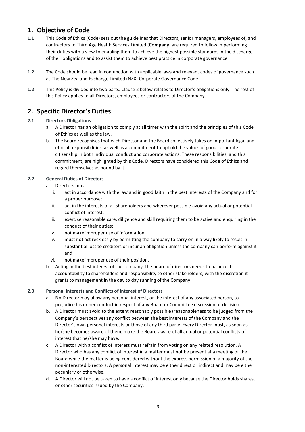# <span id="page-2-0"></span>**1. Objective of Code**

- **1.1** This Code of Ethics (Code) sets out the guidelines that Directors, senior managers, employees of, and contractors to Third Age Health Services Limited (**Company**) are required to follow in performing their duties with a view to enabling them to achieve the highest possible standards in the discharge of their obligations and to assist them to achieve best practice in corporate governance.
- **1.2** The Code should be read in conjunction with applicable laws and relevant codes of governance such as The New Zealand Exchange Limited (NZX) Corporate Governance Code
- **1.2** This Policy is divided into two parts. Clause 2 below relates to Director's obligations only. The rest of this Policy applies to all Directors, employees or contractors of the Company.

# <span id="page-2-1"></span>**2. Specific Director's Duties**

#### **2.1 Directors Obligations**

- a. A Director has an obligation to comply at all times with the spirit and the principles of this Code of Ethics as well as the law.
- b. The Board recognises that each Director and the Board collectively takes on important legal and ethical responsibilities, as well as a commitment to uphold the values of good corporate citizenship in both individual conduct and corporate actions. These responsibilities, and this commitment, are highlighted by this Code. Directors have considered this Code of Ethics and regard themselves as bound by it.

#### **2.2 General Duties of Directors**

- a. Directors must:
	- i. act in accordance with the law and in good faith in the best interests of the Company and for a proper purpose;
	- ii. act in the interests of all shareholders and wherever possible avoid any actual or potential conflict of interest;
	- iii. exercise reasonable care, diligence and skill requiring them to be active and enquiring in the conduct of their duties;
	- iv. not make improper use of information;
	- v. must not act recklessly by permitting the company to carry on in a way likely to result in substantial loss to creditors or incur an obligation unless the company can perform against it and
	- vi. not make improper use of their position.
- b. Acting in the best interest of the company, the board of directors needs to balance its accountability to shareholders and responsibility to other stakeholders, with the discretion it grants to management in the day to day running of the Company

#### **2.3 Personal Interests and Conflicts of Interest of Directors**

- a. No Director may allow any personal interest, or the interest of any associated person, to prejudice his or her conduct in respect of any Board or Committee discussion or decision.
- b. A Director must avoid to the extent reasonably possible (reasonableness to be judged from the Company's perspective) any conflict between the best interests of the Company and the Director's own personal interests or those of any third party. Every Director must, as soon as he/she becomes aware of them, make the Board aware of all actual or potential conflicts of interest that he/she may have.
- c. A Director with a conflict of interest must refrain from voting on any related resolution. A Director who has any conflict of interest in a matter must not be present at a meeting of the Board while the matter is being considered without the express permission of a majority of the non-interested Directors. A personal interest may be either direct or indirect and may be either pecuniary or otherwise.
- d. A Director will not be taken to have a conflict of interest only because the Director holds shares, or other securities issued by the Company.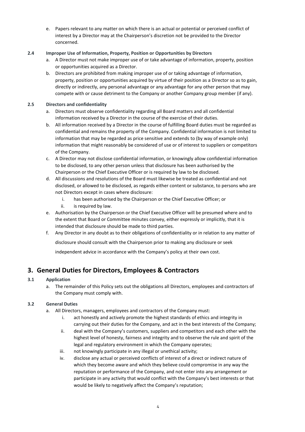e. Papers relevant to any matter on which there is an actual or potential or perceived conflict of interest by a Director may at the Chairperson's discretion not be provided to the Director concerned.

#### **2.4 Improper Use of Information, Property, Position or Opportunities by Directors**

- a. A Director must not make improper use of or take advantage of information, property, position or opportunities acquired as a Director.
- b. Directors are prohibited from making improper use of or taking advantage of information, property, position or opportunities acquired by virtue of their position as a Director so as to gain, directly or indirectly, any personal advantage or any advantage for any other person that may compete with or cause detriment to the Company or another Company group member (if any).

#### **2.5 Directors and confidentiality**

- a. Directors must observe confidentiality regarding all Board matters and all confidential information received by a Director in the course of the exercise of their duties.
- b. All information received by a Director in the course of fulfilling Board duties must be regarded as confidential and remains the property of the Company. Confidential information is not limited to information that may be regarded as price sensitive and extends to (by way of example only) information that might reasonably be considered of use or of interest to suppliers or competitors of the Company.
- c. A Director may not disclose confidential information, or knowingly allow confidential information to be disclosed, to any other person unless that disclosure has been authorised by the Chairperson or the Chief Executive Officer or is required by law to be disclosed.
- d. All discussions and resolutions of the Board must likewise be treated as confidential and not disclosed, or allowed to be disclosed, as regards either content or substance, to persons who are not Directors except in cases where disclosure:
	- i. has been authorised by the Chairperson or the Chief Executive Officer; or
	- ii. is required by law.
- e. Authorisation by the Chairperson or the Chief Executive Officer will be presumed where and to the extent that Board or Committee minutes convey, either expressly or implicitly, that it is intended that disclosure should be made to third parties.
- f. Any Director in any doubt as to their obligations of confidentiality or in relation to any matter of

disclosure should consult with the Chairperson prior to making any disclosure or seek

independent advice in accordance with the Company's policy at their own cost.

# <span id="page-3-0"></span>**3. General Duties for Directors, Employees & Contractors**

### **3.1 Application**

a. The remainder of this Policy sets out the obligations all Directors, employees and contractors of the Company must comply with.

### **3.2 General Duties**

- a. All Directors, managers, employees and contractors of the Company must:
	- i. act honestly and actively promote the highest standards of ethics and integrity in carrying out their duties for the Company, and act in the best interests of the Company;
	- ii. deal with the Company's customers, suppliers and competitors and each other with the highest level of honesty, fairness and integrity and to observe the rule and spirit of the legal and regulatory environment in which the Company operates;
	- iii. not knowingly participate in any illegal or unethical activity;
	- iv. disclose any actual or perceived conflicts of interest of a direct or indirect nature of which they become aware and which they believe could compromise in any way the reputation or performance of the Company, and not enter into any arrangement or participate in any activity that would conflict with the Company's best interests or that would be likely to negatively affect the Company's reputation;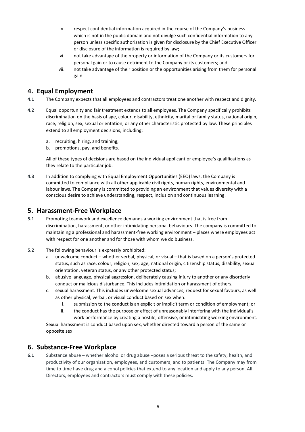- v. respect confidential information acquired in the course of the Company's business which is not in the public domain and not divulge such confidential information to any person unless specific authorisation is given for disclosure by the Chief Executive Officer or disclosure of the information is required by law;
- vi. not take advantage of the property or information of the Company or its customers for personal gain or to cause detriment to the Company or its customers; and
- vii. not take advantage of their position or the opportunities arising from them for personal gain.

## <span id="page-4-0"></span>**4. Equal Employment**

- **4.1** The Company expects that all employees and contractors treat one another with respect and dignity.
- **4.2** Equal opportunity and fair treatment extends to all employees. The Company specifically prohibits discrimination on the basis of age, colour, disability, ethnicity, marital or family status, national origin, race, religion, sex, sexual orientation, or any other characteristic protected by law. These principles extend to all employment decisions, including:
	- a. recruiting, hiring, and training;
	- b. promotions, pay, and benefits.

All of these types of decisions are based on the individual applicant or employee's qualifications as they relate to the particular job.

**4.3** In addition to complying with Equal Employment Opportunities (EEO) laws, the Company is committed to compliance with all other applicable civil rights, human rights, environmental and labour laws. The Company is committed to providing an environment that values diversity with a conscious desire to achieve understanding, respect, inclusion and continuous learning.

## <span id="page-4-1"></span>**5. Harassment-Free Workplace**

- **5.1** Promoting teamwork and excellence demands a working environment that is free from discrimination, harassment, or other intimidating personal behaviours. The company is committed to maintaining a professional and harassment-free working environment – places where employees act with respect for one another and for those with whom we do business.
- **5.2** The following behaviour is expressly prohibited:
	- a. unwelcome conduct whether verbal, physical, or visual that is based on a person's protected status, such as race, colour, religion, sex, age, national origin, citizenship status, disability, sexual orientation, veteran status, or any other protected status;
	- b. abusive language, physical aggression, deliberately causing injury to another or any disorderly conduct or malicious disturbance. This includes intimidation or harassment of others;
	- c. sexual harassment. This includes unwelcome sexual advances, request for sexual favours, as well as other physical, verbal, or visual conduct based on sex when:
		- i. submission to the conduct is an explicit or implicit term or condition of employment; or
		- ii. the conduct has the purpose or effect of unreasonably interfering with the individual's work performance by creating a hostile, offensive, or intimidating working environment.

Sexual harassment is conduct based upon sex, whether directed toward a person of the same or opposite sex

## <span id="page-4-2"></span>**6. Substance-Free Workplace**

**6.1** Substance abuse – whether alcohol or drug abuse –poses a serious threat to the safety, health, and productivity of our organisation, employees, and customers, and to patients. The Company may from time to time have drug and alcohol policies that extend to any location and apply to any person. All Directors, employees and contractors must comply with these policies.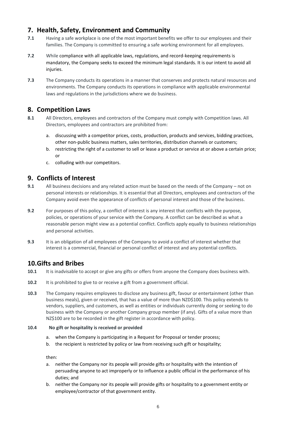# <span id="page-5-0"></span>**7. Health, Safety, Environment and Community**

- **7.1** Having a safe workplace is one of the most important benefits we offer to our employees and their families. The Company is committed to ensuring a safe working environment for all employees.
- **7.2** While compliance with all applicable laws, regulations, and record-keeping requirements is mandatory, the Company seeks to exceed the minimum legal standards. It is our intent to avoid all injuries.
- **7.3** The Company conducts its operations in a manner that conserves and protects natural resources and environments. The Company conducts its operations in compliance with applicable environmental laws and regulations in the jurisdictions where we do business.

## <span id="page-5-1"></span>**8. Competition Laws**

- 8.1 All Directors, employees and contractors of the Company must comply with Competition laws. All Directors, employees and contractors are prohibited from:
	- a. discussing with a competitor prices, costs, production, products and services, bidding practices, other non-public business matters, sales territories, distribution channels or customers;
	- b. restricting the right of a customer to sell or lease a product or service at or above a certain price; or
	- c. colluding with our competitors.

# <span id="page-5-2"></span>**9. Conflicts of Interest**

- **9.1** All business decisions and any related action must be based on the needs of the Company not on personal interests or relationships. It is essential that all Directors, employees and contractors of the Company avoid even the appearance of conflicts of personal interest and those of the business.
- **9.2** For purposes of this policy, a conflict of interest is any interest that conflicts with the purpose, policies, or operations of your service with the Company. A conflict can be described as what a reasonable person might view as a potential conflict. Conflicts apply equally to business relationships and personal activities.
- **9.3** It is an obligation of all employees of the Company to avoid a conflict of interest whether that interest is a commercial, financial or personal conflict of interest and any potential conflicts.

# <span id="page-5-3"></span>**10.Gifts and Bribes**

- **10.1** It is inadvisable to accept or give any gifts or offers from anyone the Company does business with.
- **10.2** It is prohibited to give to or receive a gift from a government official.
- **10.3** The Company requires employees to disclose any business gift, favour or entertainment (other than business meals), given or received, that has a value of more than NZD\$100. This policy extends to vendors, suppliers, and customers, as well as entities or individuals currently doing or seeking to do business with the Company or another Company group member (if any). Gifts of a value more than NZ\$100 are to be recorded in the gift register in accordance with policy.

#### **10.4 No gift or hospitality is received or provided**

- a. when the Company is participating in a Request for Proposal or tender process;
- b. the recipient is restricted by policy or law from receiving such gift or hospitality;

then:

- a. neither the Company nor its people will provide gifts or hospitality with the intention of persuading anyone to act improperly or to influence a public official in the performance of his duties; and
- b. neither the Company nor its people will provide gifts or hospitality to a government entity or employee/contractor of that government entity.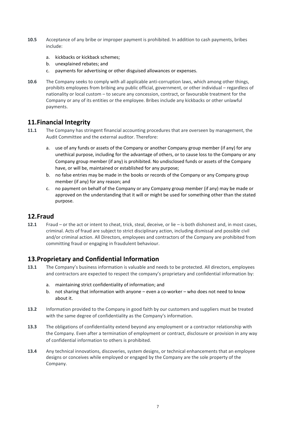- **10.5** Acceptance of any bribe or improper payment is prohibited. In addition to cash payments, bribes include:
	- a. kickbacks or kickback schemes;
	- b. unexplained rebates; and
	- c. payments for advertising or other disguised allowances or expenses.
- **10.6** The Company seeks to comply with all applicable anti-corruption laws, which among other things, prohibits employees from bribing any public official, government, or other individual – regardless of nationality or local custom – to secure any concession, contract, or favourable treatment for the Company or any of its entities or the employee. Bribes include any kickbacks or other unlawful payments.

## <span id="page-6-0"></span>**11.Financial Integrity**

- **11.1** The Company has stringent financial accounting procedures that are overseen by management, the Audit Committee and the external auditor. Therefore:
	- a. use of any funds or assets of the Company or another Company group member (if any) for any unethical purpose, including for the advantage of others, or to cause loss to the Company or any Company group member (if any) is prohibited. No undisclosed funds or assets of the Company have, or will be, maintained or established for any purpose;
	- b. no false entries may be made in the books or records of the Company or any Company group member (if any) for any reason; and
	- c. no payment on behalf of the Company or any Company group member (if any) may be made or approved on the understanding that it will or might be used for something other than the stated purpose.

## <span id="page-6-1"></span>**12.Fraud**

**12.1** Fraud – or the act or intent to cheat, trick, steal, deceive, or lie – is both dishonest and, in most cases, criminal. Acts of fraud are subject to strict disciplinary action, including dismissal and possible civil and/or criminal action. All Directors, employees and contractors of the Company are prohibited from committing fraud or engaging in fraudulent behaviour.

# <span id="page-6-2"></span>**13.Proprietary and Confidential Information**

- **13.1** The Company's business information is valuable and needs to be protected. All directors, employees and contractors are expected to respect the company's proprietary and confidential information by:
	- a. maintaining strict confidentiality of information; and
	- b. not sharing that information with anyone even a co-worker who does not need to know about it.
- **13.2** Information provided to the Company in good faith by our customers and suppliers must be treated with the same degree of confidentiality as the Company's information.
- **13.3** The obligations of confidentiality extend beyond any employment or a contractor relationship with the Company. Even after a termination of employment or contract, disclosure or provision in any way of confidential information to others is prohibited.
- **13.4** Any technical innovations, discoveries, system designs, or technical enhancements that an employee designs or conceives while employed or engaged by the Company are the sole property of the Company.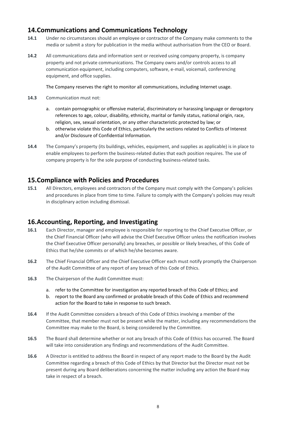# <span id="page-7-0"></span>**14.Communications and Communications Technology**

- **14.1** Under no circumstances should an employee or contractor of the Company make comments to the media or submit a story for publication in the media without authorisation from the CEO or Board.
- **14.2** All communications data and information sent or received using company property, is company property and not private communications. The Company owns and/or controls access to all communication equipment, including computers, software, e-mail, voicemail, conferencing equipment, and office supplies.

The Company reserves the right to monitor all communications, including Internet usage.

- **14.3** Communication must not:
	- a. contain pornographic or offensive material, discriminatory or harassing language or derogatory references to age, colour, disability, ethnicity, marital or family status, national origin, race, religion, sex, sexual orientation, or any other characteristic protected by law; or
	- b. otherwise violate this Code of Ethics, particularly the sections related to Conflicts of Interest and/or Disclosure of Confidential Information.
- **14.4** The Company's property (its buildings, vehicles, equipment, and supplies as applicable) is in place to enable employees to perform the business-related duties that each position requires. The use of company property is for the sole purpose of conducting business-related tasks.

## <span id="page-7-1"></span>**15.Compliance with Policies and Procedures**

**15.1** All Directors, employees and contractors of the Company must comply with the Company's policies and procedures in place from time to time. Failure to comply with the Company's policies may result in disciplinary action including dismissal.

# <span id="page-7-2"></span>**16.Accounting, Reporting, and Investigating**

- **16.1** Each Director, manager and employee is responsible for reporting to the Chief Executive Officer, or the Chief Financial Officer (who will advise the Chief Executive Officer unless the notification involves the Chief Executive Officer personally) any breaches, or possible or likely breaches, of this Code of Ethics that he/she commits or of which he/she becomes aware.
- **16.2** The Chief Financial Officer and the Chief Executive Officer each must notify promptly the Chairperson of the Audit Committee of any report of any breach of this Code of Ethics.
- **16.3** The Chairperson of the Audit Committee must:
	- a. refer to the Committee for investigation any reported breach of this Code of Ethics; and
	- b. report to the Board any confirmed or probable breach of this Code of Ethics and recommend action for the Board to take in response to such breach.
- **16.4** If the Audit Committee considers a breach of this Code of Ethics involving a member of the Committee, that member must not be present while the matter, including any recommendations the Committee may make to the Board, is being considered by the Committee.
- **16.5** The Board shall determine whether or not any breach of this Code of Ethics has occurred. The Board will take into consideration any findings and recommendations of the Audit Committee.
- **16.6** A Director is entitled to address the Board in respect of any report made to the Board by the Audit Committee regarding a breach of this Code of Ethics by that Director but the Director must not be present during any Board deliberations concerning the matter including any action the Board may take in respect of a breach.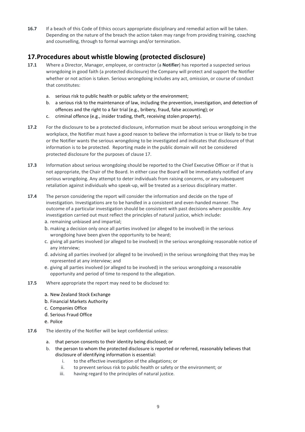**16.7** If a beach of this Code of Ethics occurs appropriate disciplinary and remedial action will be taken. Depending on the nature of the breach the action taken may range from providing training, coaching and counselling, through to formal warnings and/or termination.

# <span id="page-8-0"></span>**17.Procedures about whistle blowing (protected disclosure)**

- **17.1** Where a Director, Manager, employee, or contractor (a **Notifier**) has reported a suspected serious wrongdoing in good faith (a protected disclosure) the Company will protect and support the Notifier whether or not action is taken. Serious wrongdoing includes any act, omission, or course of conduct that constitutes:
	- a. serious risk to public health or public safety or the environment;
	- b. a serious risk to the maintenance of law, including the prevention, investigation, and detection of offences and the right to a fair trial (e.g., bribery, fraud, false accounting); or
	- c. criminal offence (e.g., insider trading, theft, receiving stolen property).
- **17.2** For the disclosure to be a protected disclosure, information must be about serious wrongdoing in the workplace, the Notifier must have a good reason to believe the information is true or likely to be true or the Notifier wants the serious wrongdoing to be investigated and indicates that disclosure of that information is to be protected. Reporting made in the public domain will not be considered protected disclosure for the purposes of clause 17.
- **17.3** Information about serious wrongdoing should be reported to the Chief Executive Officer or if that is not appropriate, the Chair of the Board. In either case the Board will be immediately notified of any serious wrongdoing. Any attempt to deter individuals from raising concerns, or any subsequent retaliation against individuals who speak-up, will be treated as a serious disciplinary matter.
- **17.4** The person considering the report will consider the information and decide on the type of investigation. Investigations are to be handled in a consistent and even-handed manner. The outcome of a particular investigation should be consistent with past decisions where possible. Any investigation carried out must reflect the principles of natural justice, which include:
	- a. remaining unbiased and impartial;
	- b. making a decision only once all parties involved (or alleged to be involved) in the serious wrongdoing have been given the opportunity to be heard;
	- c. giving all parties involved (or alleged to be involved) in the serious wrongdoing reasonable notice of any interview;
	- d. advising all parties involved (or alleged to be involved) in the serious wrongdoing that they may be represented at any interview; and
	- e. giving all parties involved (or alleged to be involved) in the serious wrongdoing a reasonable opportunity and period of time to respond to the allegation.
- **17.5** Where appropriate the report may need to be disclosed to:
	- a. New Zealand Stock Exchange
	- b. Financial Markets Authority
	- c. Companies Office
	- d. Serious Fraud Office
	- e. Police
- **17.6** The identity of the Notifier will be kept confidential unless:
	- a. that person consents to their identity being disclosed; or
	- b. the person to whom the protected disclosure is reported or referred, reasonably believes that disclosure of identifying information is essential:
		- i. to the effective investigation of the allegations; or
		- ii. to prevent serious risk to public health or safety or the environment; or
		- iii. having regard to the principles of natural justice.